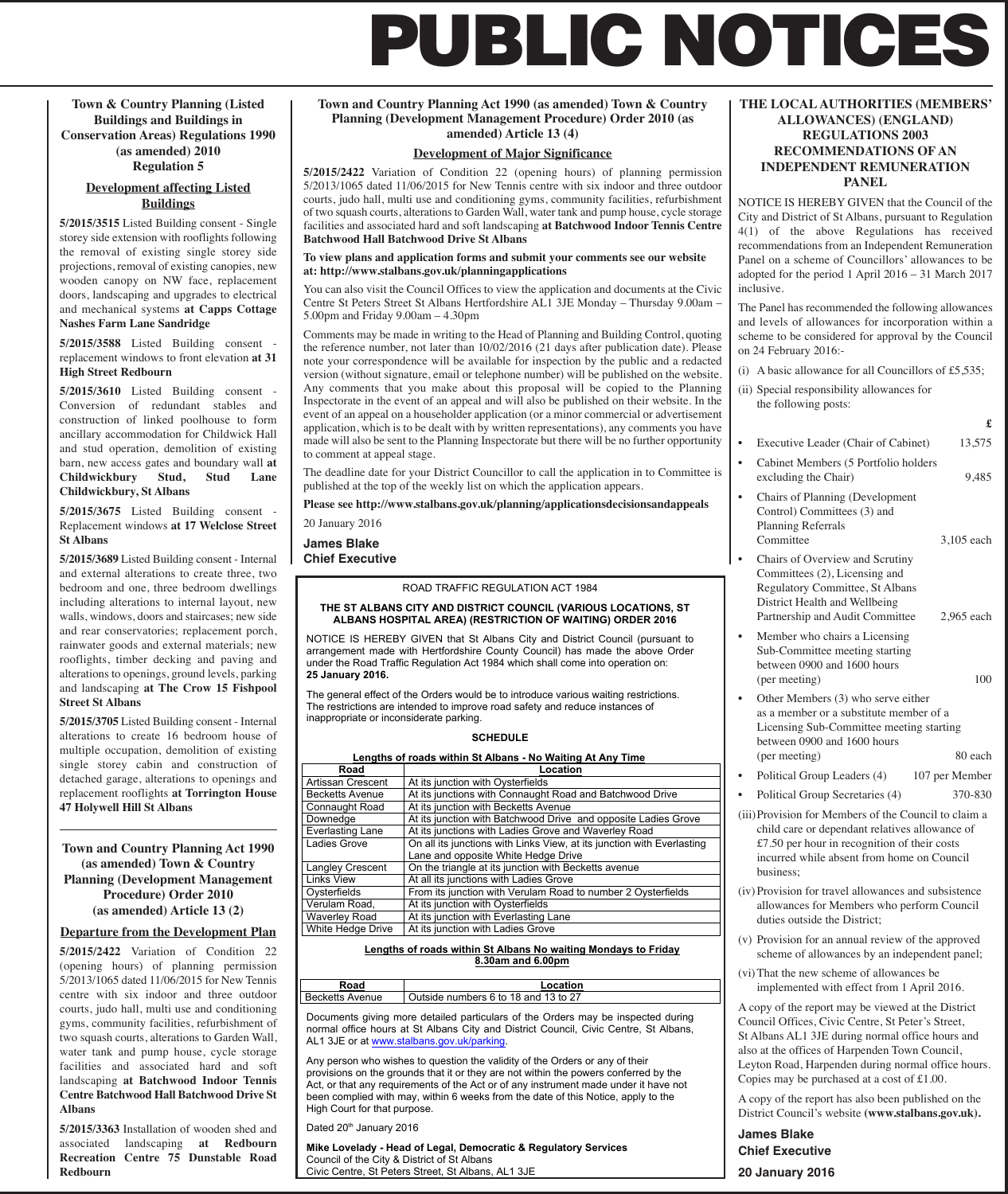# **PUBLIC NOTICES**

**Town & Country Planning (Listed Buildings and Buildings in Conservation Areas) Regulations 1990 (as amended) 2010 Regulation 5**

# **Development affecting Listed Buildings**

**5/2015/3515** Listed Building consent - Single storey side extension with rooflights following the removal of existing single storey side projections, removal of existing canopies, new wooden canopy on NW face, replacement doors, landscaping and upgrades to electrical and mechanical systems **at Capps Cottage Nashes Farm Lane Sandridge**

**5/2015/3588** Listed Building consent replacement windows to front elevation **at 31 High Street Redbourn**

**5/2015/3610** Listed Building consent - Conversion of redundant stables and construction of linked poolhouse to form ancillary accommodation for Childwick Hall and stud operation, demolition of existing barn, new access gates and boundary wall **at Childwickbury Stud, Stud Lane Childwickbury, St Albans**

**5/2015/3675** Listed Building consent - Replacement windows **at 17 Welclose Street St Albans**

**5/2015/3689** Listed Building consent - Internal and external alterations to create three, two bedroom and one, three bedroom dwellings including alterations to internal layout, new walls, windows, doors and staircases; new side and rear conservatories; replacement porch, rainwater goods and external materials; new rooflights, timber decking and paving and alterations to openings, ground levels, parking and landscaping **at The Crow 15 Fishpool Street St Albans**

**5/2015/3705** Listed Building consent - Internal alterations to create 16 bedroom house of multiple occupation, demolition of existing single storey cabin and construction of detached garage, alterations to openings and replacement rooflights **at Torrington House 47 Holywell Hill St Albans**

**Town and Country Planning Act 1990 (as amended) Town & Country Planning (Development Management Procedure) Order 2010 (as amended) Article 13 (2)**

## **Departure from the Development Plan**

**5/2015/2422** Variation of Condition 22 (opening hours) of planning permission 5/2013/1065 dated 11/06/2015 for New Tennis centre with six indoor and three outdoor courts, judo hall, multi use and conditioning gyms, community facilities, refurbishment of two squash courts, alterations to Garden Wall, water tank and pump house, cycle storage facilities and associated hard and soft landscaping **at Batchwood Indoor Tennis Centre Batchwood Hall Batchwood Drive St Albans**

**5/2015/3363** Installation of wooden shed and associated landscaping **at Redbourn Recreation Centre 75 Dunstable Road Redbourn**

## **Town and Country Planning Act 1990 (as amended) Town & Country Planning (Development Management Procedure) Order 2010 (as amended) Article 13 (4)**

## **Development of Major Significance**

**5/2015/2422** Variation of Condition 22 (opening hours) of planning permission 5/2013/1065 dated 11/06/2015 for New Tennis centre with six indoor and three outdoor courts, judo hall, multi use and conditioning gyms, community facilities, refurbishment of two squash courts, alterations to Garden Wall, water tank and pump house, cycle storage facilities and associated hard and soft landscaping **at Batchwood Indoor Tennis Centre Batchwood Hall Batchwood Drive St Albans**

**To view plans and application forms and submit your comments see our website at: http://www.stalbans.gov.uk/planningapplications**

You can also visit the Council Offices to view the application and documents at the Civic Centre St Peters Street St Albans Hertfordshire AL1 3JE Monday – Thursday 9.00am – 5.00pm and Friday 9.00am – 4.30pm

Comments may be made in writing to the Head of Planning and Building Control, quoting the reference number, not later than 10/02/2016 (21 days after publication date). Please note your correspondence will be available for inspection by the public and a redacted version (without signature, email or telephone number) will be published on the website. Any comments that you make about this proposal will be copied to the Planning Inspectorate in the event of an appeal and will also be published on their website. In the event of an appeal on a householder application (or a minor commercial or advertisement application, which is to be dealt with by written representations), any comments you have made will also be sent to the Planning Inspectorate but there will be no further opportunity to comment at appeal stage.

The deadline date for your District Councillor to call the application in to Committee is published at the top of the weekly list on which the application appears.

**Please see http://www.stalbans.gov.uk/planning/applicationsdecisionsandappeals** 20 January 2016

**James Blake**

**Chief Executive**

## ROAD TRAFFIC REGULATION ACT 1984

#### **THE ST ALBANS CITY AND DISTRICT COUNCIL (VARIOUS LOCATIONS, ST ALBANS HOSPITAL AREA) (RESTRICTION OF WAITING) ORDER 2016**

NOTICE IS HEREBY GIVEN that St Albans City and District Council (pursuant to arrangement made with Hertfordshire County Council) has made the above Order under the Road Traffic Regulation Act 1984 which shall come into operation on: **25 January 2016.** 

The general effect of the Orders would be to introduce various waiting restrictions. The restrictions are intended to improve road safety and reduce instances of inappropriate or inconsiderate parking.

## **SCHEDULE**

| Lengths of roads within St Albans - No Waiting At Any Time |                                                                        |
|------------------------------------------------------------|------------------------------------------------------------------------|
| Road                                                       | Location                                                               |
| Artissan Crescent                                          | At its junction with Oysterfields                                      |
| <b>Becketts Avenue</b>                                     | At its junctions with Connaught Road and Batchwood Drive               |
| <b>Connaught Road</b>                                      | At its junction with Becketts Avenue                                   |
| Downedge                                                   | At its junction with Batchwood Drive and opposite Ladies Grove         |
| <b>Everlasting Lane</b>                                    | At its junctions with Ladies Grove and Waverley Road                   |
| Ladies Grove                                               | On all its junctions with Links View, at its junction with Everlasting |
|                                                            | Lane and opposite White Hedge Drive                                    |
| <b>Langley Crescent</b>                                    | On the triangle at its junction with Becketts avenue                   |
| Links View                                                 | At all its junctions with Ladies Grove                                 |
| Oysterfields                                               | From its junction with Verulam Road to number 2 Oysterfields           |
| Verulam Road.                                              | At its junction with Oysterfields                                      |
| <b>Waverley Road</b>                                       | At its junction with Everlasting Lane                                  |
| White Hedge Drive                                          | At its junction with Ladies Grove                                      |

**Lengths of roads within St Albans No waiting Mondays to Friday 8.30am and 6.00pm** 

**Road Location**  Becketts Avenue Outside numbers 6 to 18 and 13 to 27

Documents giving more detailed particulars of the Orders may be inspected during normal office hours at St Albans City and District Council, Civic Centre, St Albans, AL1 3JE or at www.stalbar

Any person who wishes to question the validity of the Orders or any of their provisions on the grounds that it or they are not within the powers conferred by the Act, or that any requirements of the Act or of any instrument made under it have not been complied with may, within 6 weeks from the date of this Notice, apply to the High Court for that purpose.

Dated 20<sup>th</sup> January 2016

#### **Mike Lovelady - Head of Legal, Democratic & Regulatory Services**  Council of the City & District of St Albans

Civic Centre, St Peters Street, St Albans, AL1 3JE

## **THE LOCALAUTHORITIES (MEMBERS' ALLOWANCES) (ENGLAND) REGULATIONS 2003 RECOMMENDATIONS OF AN INDEPENDENT REMUNERATION PANEL**

NOTICE IS HEREBY GIVEN that the Council of the City and District of St Albans, pursuant to Regulation 4(1) of the above Regulations has received recommendations from an Independent Remuneration Panel on a scheme of Councillors' allowances to be adopted for the period 1 April 2016 – 31 March 2017 inclusive.

The Panel has recommended the following allowances and levels of allowances for incorporation within a scheme to be considered for approval by the Council on 24 February 2016:-

- (i) A basic allowance for all Councillors of £5,535;
- (ii) Special responsibility allowances for the following posts:
	- **£**
- Executive Leader (Chair of Cabinet) 13,575
- Cabinet Members (5 Portfolio holders excluding the Chair) 9,485
- Chairs of Planning (Development Control) Committees (3) and Planning Referrals Committee 3,105 each
- Chairs of Overview and Scrutiny Committees (2), Licensing and Regulatory Committee, St Albans District Health and Wellbeing Partnership and Audit Committee 2,965 each
- Member who chairs a Licensing Sub-Committee meeting starting between 0900 and 1600 hours (per meeting) 100
- Other Members (3) who serve either as a member or a substitute member of a Licensing Sub-Committee meeting starting between 0900 and 1600 hours (per meeting) 80 each
- Political Group Leaders (4) 107 per Member
- Political Group Secretaries (4) 370-830
- (iii)Provision for Members of the Council to claim a child care or dependant relatives allowance of £7.50 per hour in recognition of their costs incurred while absent from home on Council business;
- (iv)Provision for travel allowances and subsistence allowances for Members who perform Council duties outside the District;
- (v) Provision for an annual review of the approved scheme of allowances by an independent panel;
- (vi)That the new scheme of allowances be implemented with effect from 1 April 2016.

A copy of the report may be viewed at the District Council Offices, Civic Centre, St Peter's Street, St Albans AL1 3JE during normal office hours and also at the offices of Harpenden Town Council, Leyton Road, Harpenden during normal office hours. Copies may be purchased at a cost of £1.00.

A copy of the report has also been published on the District Council's website **(www.stalbans.gov.uk).**

**James Blake Chief Executive 20 January 2016**